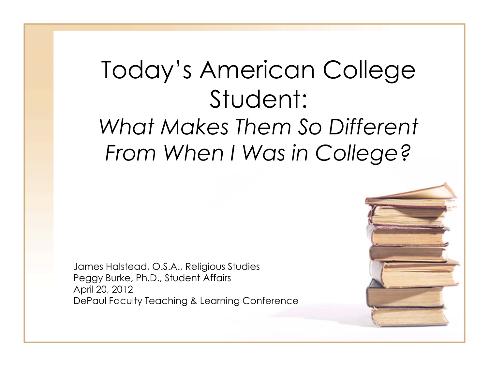# Today's American College Student: *What Makes Them So Different From When I Was in College?*

James Halstead, O.S.A., Religious Studies Peggy Burke, Ph.D., Student Affairs April 20, 2012 DePaul Faculty Teaching & Learning Conference

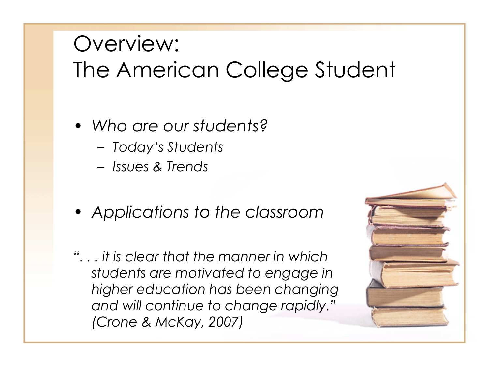## Overview: The American College Student

- *Who are our students?*
	- *Today's Students*
	- *Issues & Trends*
- *Applications to the classroom*
- *". . . it is clear that the manner in which students are motivated to engage in higher education has been changing and will continue to change rapidly." (Crone & McKay, 2007)*

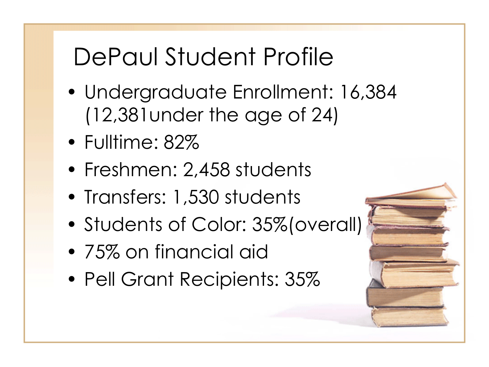# DePaul Student Profile

- Undergraduate Enrollment: 16,384 (12,381under the age of 24)
- Fulltime: 82%
- Freshmen: 2,458 students
- Transfers: 1,530 students
- Students of Color: 35%(overall)
- 75% on financial aid
- Pell Grant Recipients: 35%

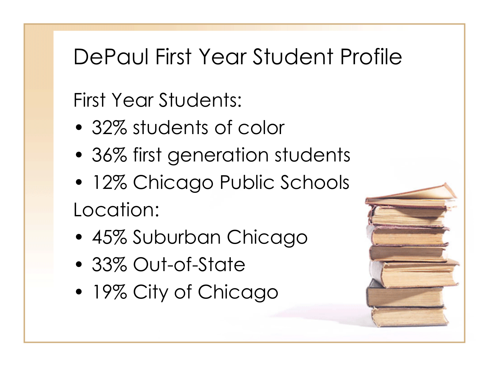#### DePaul First Year Student Profile

First Year Students:

- 32% students of color
- 36% first generation students
- 12% Chicago Public Schools Location:
- 45% Suburban Chicago
- 33% Out-of-State
- 19% City of Chicago

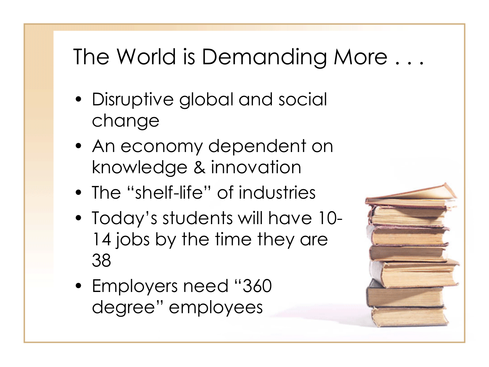# The World is Demanding More . . .

- Disruptive global and social change
- An economy dependent on knowledge & innovation
- The "shelf-life" of industries
- Today's students will have 10- 14 jobs by the time they are 38
- Employers need "360 degree" employees

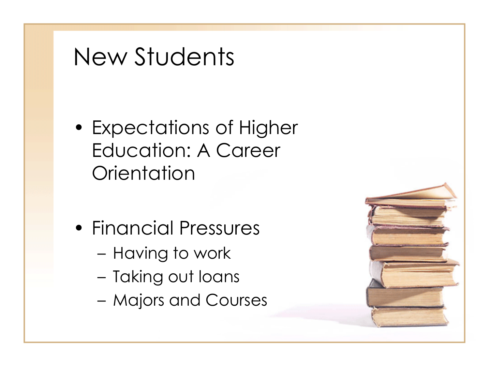# New Students

- Expectations of Higher Education: A Career **Orientation**
- Financial Pressures
	- Having to work
	- Taking out loans
	- Majors and Courses

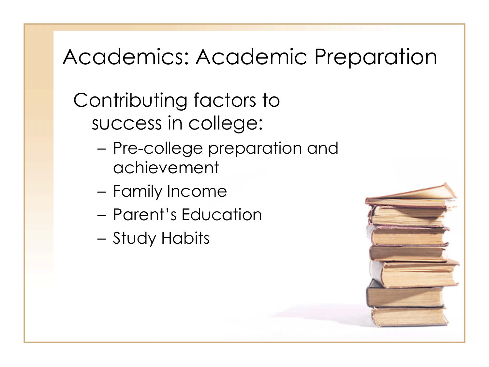## Academics: Academic Preparation

Contributing factors to success in college:

- Pre-college preparation and achievement
- Family Income
- Parent's Education
- Study Habits

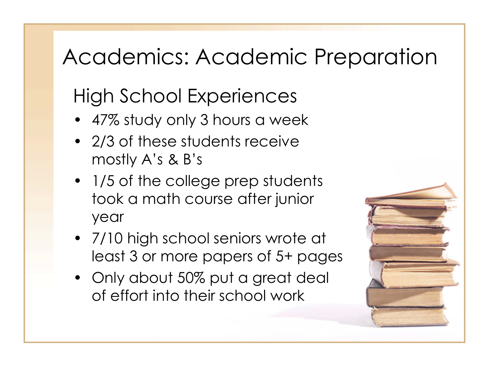## Academics: Academic Preparation

## High School Experiences

- 47% study only 3 hours a week
- 2/3 of these students receive mostly A's & B's
- 1/5 of the college prep students took a math course after junior year
- 7/10 high school seniors wrote at least 3 or more papers of 5+ pages
- Only about 50% put a great deal of effort into their school work

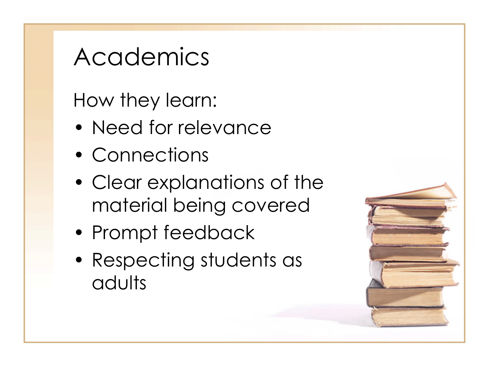# Academics

How they learn:

- Need for relevance
- Connections
- Clear explanations of the material being covered
- Prompt feedback
- Respecting students as adults

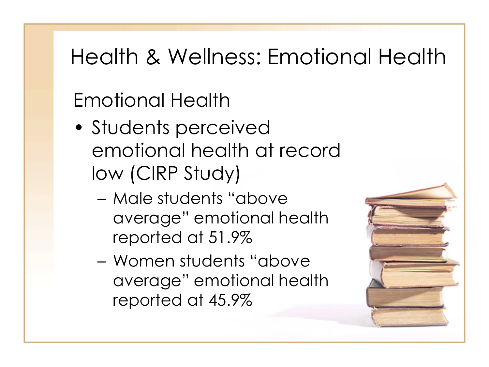# Health & Wellness: Emotional Health

## Emotional Health

- Students perceived emotional health at record low (CIRP Study)
	- Male students "above average" emotional health reported at 51.9%
	- Women students "above average" emotional health reported at 45.9%

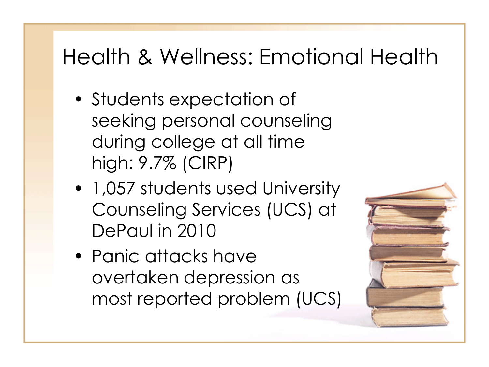## Health & Wellness: Emotional Health

- Students expectation of seeking personal counseling during college at all time high: 9.7% (CIRP)
- 1,057 students used University Counseling Services (UCS) at DePaul in 2010
- Panic attacks have overtaken depression as most reported problem (UCS)

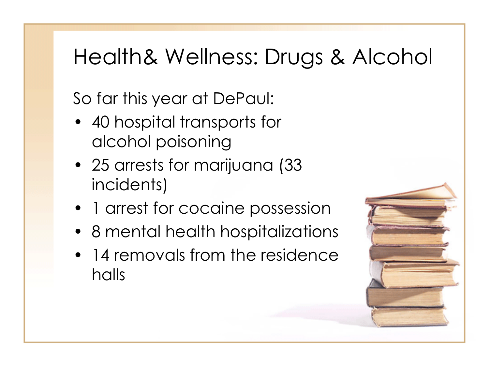## Health& Wellness: Drugs & Alcohol

So far this year at DePaul:

- 40 hospital transports for alcohol poisoning
- 25 arrests for marijuana (33 incidents)
- 1 arrest for cocaine possession
- 8 mental health hospitalizations
- 14 removals from the residence halls

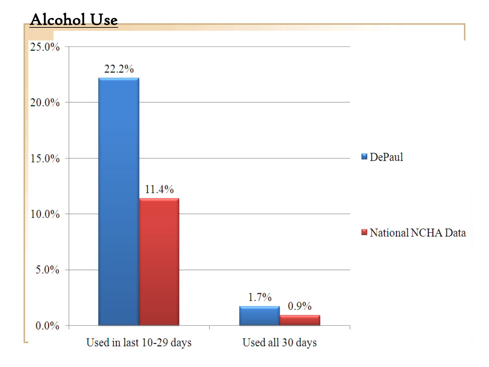#### Alcohol Use

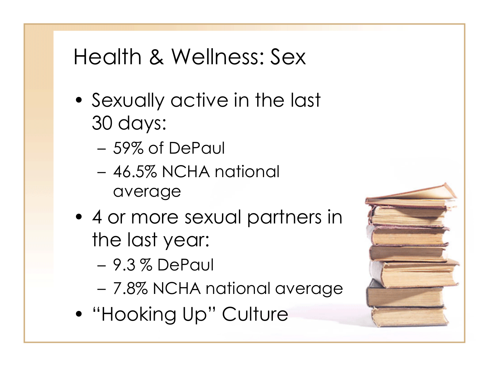#### Health & Wellness: Sex

- Sexually active in the last 30 days:
	- 59% of DePaul
	- 46.5% NCHA national average
- 4 or more sexual partners in the last year:
	- 9.3 % DePaul
	- 7.8% NCHA national average
- "Hooking Up" Culture

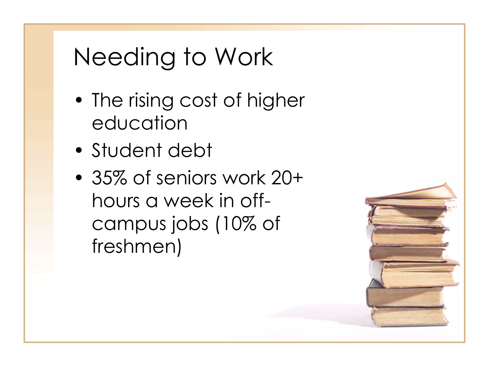# Needing to Work

- The rising cost of higher education
- Student debt
- 35% of seniors work 20+ hours a week in offcampus jobs (10% of freshmen)

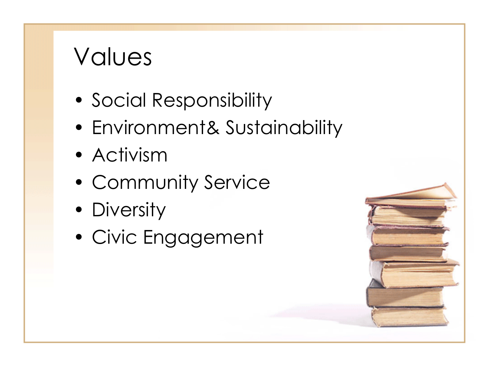# Values

- Social Responsibility
- Environment& Sustainability
- Activism
- Community Service
- Diversity
- Civic Engagement